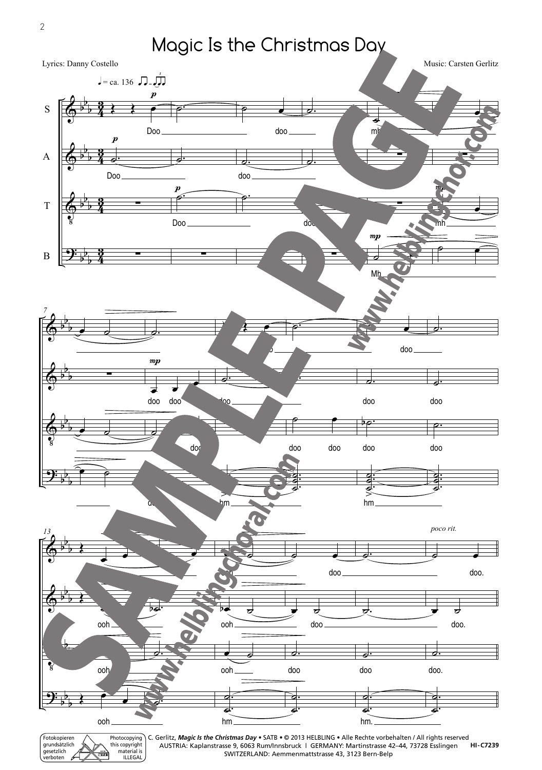## Magic is the Christmas Day Magic Is the Christmas Day



Fotokopieren Photocopying this copyright grundsätzlich gesetzlich verboten material is ILLEGAL÷

**HI -C7239** C. Gerlitz, *Magic Is the Christmas Day •* SATB *•* © 2013 Helbling *•* Alle Rechte vorbehalten / All rights reserved Austria: Kaplanstrasse 9, 6063 Rum/Innsbruck | GERMANY: Martinstrasse 42–44, 73728 Esslingen SWITZERLAND: Aemmenmattstrasse 43, 3123 Bern-Belp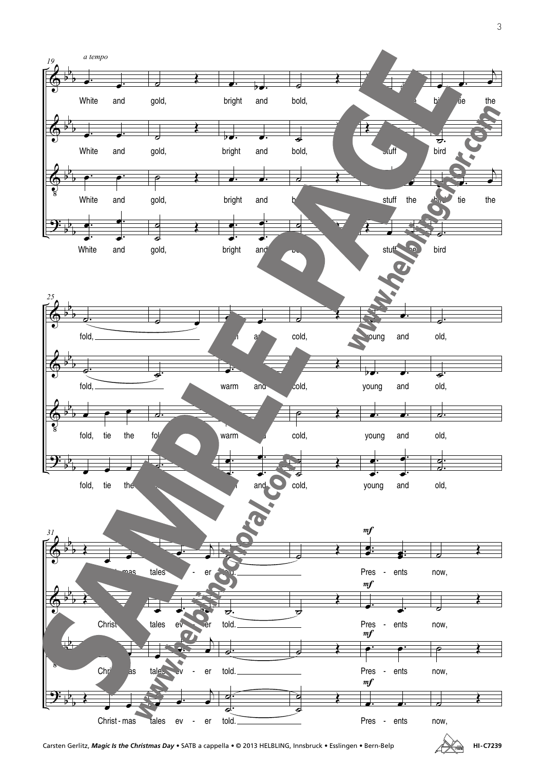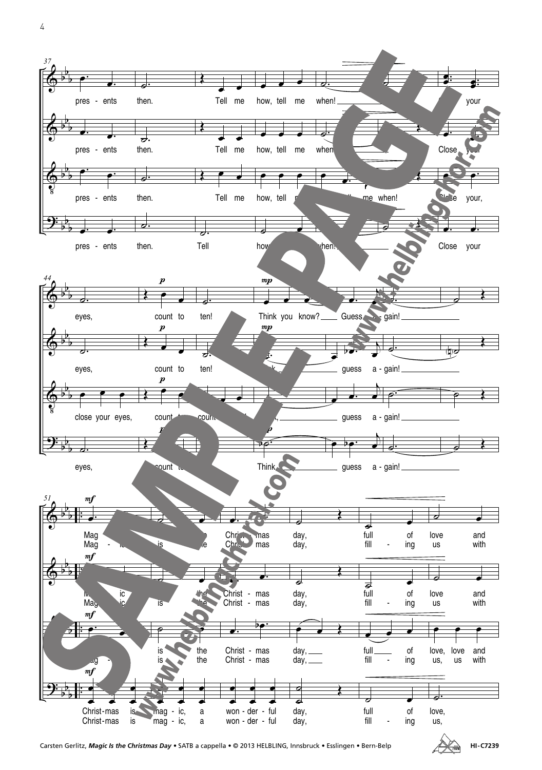

Carsten Gerlitz, *Magic Is the Christmas Day* • SATB a cappella • © 2013 HELBLING, Innsbruck • Esslingen • Bern-Belp **HI-C7239**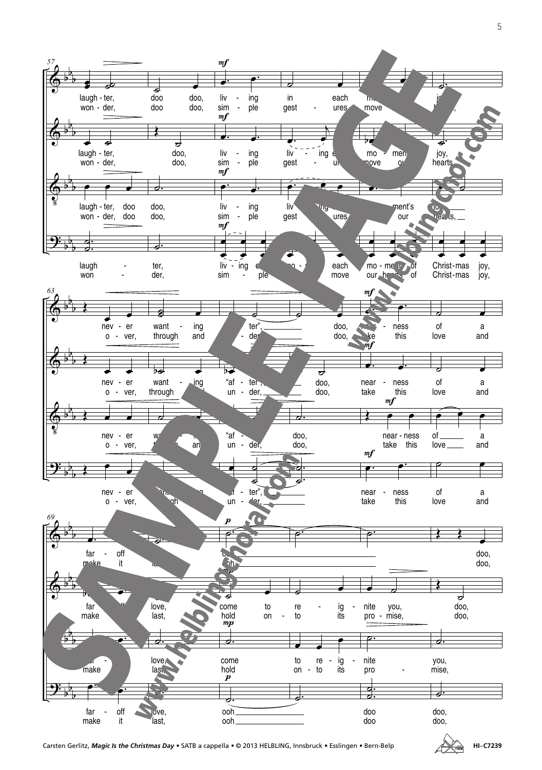

Carsten Gerlitz, *Magic Is the Christmas Day •* SATB a cappella *•* © 2013 Helbling, Innsbruck *•* Esslingen *•* Bern-Belp **HI-C7239**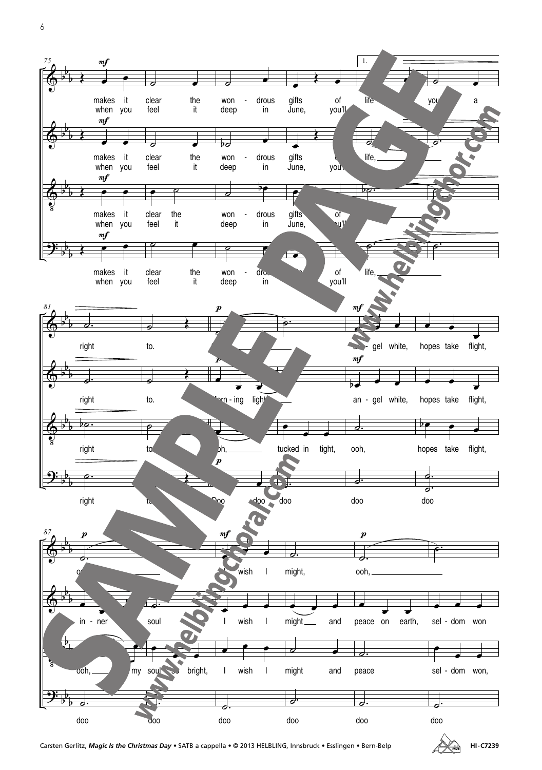

Carsten Gerlitz, *Magic Is the Christmas Day* • SATB a cappella • © 2013 HELBLING, Innsbruck • Esslingen • Bern-Belp **HI-C7239**